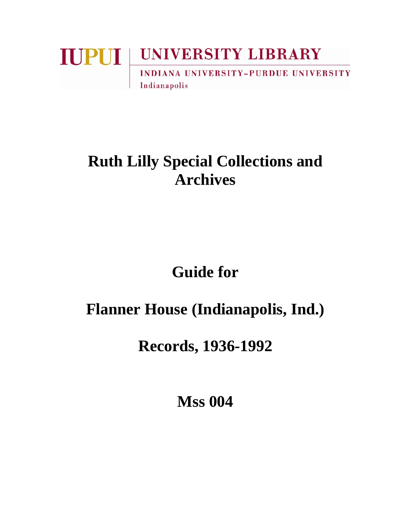### **IUPUI UNIVERSITY LIBRARY INDIANA UNIVERSITY-PURDUE UNIVERSITY** Indianapolis

## **Ruth Lilly Special Collections and Archives**

# **Guide for**

### **Flanner House (Indianapolis, Ind.)**

### **Records, 1936-1992**

**Mss 004**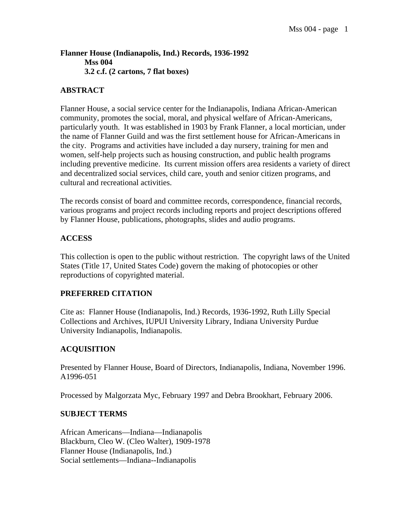**Flanner House (Indianapolis, Ind.) Records, 1936-1992 Mss 004 3.2 c.f. (2 cartons, 7 flat boxes)** 

#### **ABSTRACT**

Flanner House, a social service center for the Indianapolis, Indiana African-American community, promotes the social, moral, and physical welfare of African-Americans, particularly youth. It was established in 1903 by Frank Flanner, a local mortician, under the name of Flanner Guild and was the first settlement house for African-Americans in the city. Programs and activities have included a day nursery, training for men and women, self-help projects such as housing construction, and public health programs including preventive medicine. Its current mission offers area residents a variety of direct and decentralized social services, child care, youth and senior citizen programs, and cultural and recreational activities.

The records consist of board and committee records, correspondence, financial records, various programs and project records including reports and project descriptions offered by Flanner House, publications, photographs, slides and audio programs.

#### **ACCESS**

This collection is open to the public without restriction. The copyright laws of the United States (Title 17, United States Code) govern the making of photocopies or other reproductions of copyrighted material.

#### **PREFERRED CITATION**

Cite as: Flanner House (Indianapolis, Ind.) Records, 1936-1992, Ruth Lilly Special Collections and Archives, IUPUI University Library, Indiana University Purdue University Indianapolis, Indianapolis.

#### **ACQUISITION**

Presented by Flanner House, Board of Directors, Indianapolis, Indiana, November 1996. A1996-051

Processed by Malgorzata Myc, February 1997 and Debra Brookhart, February 2006.

#### **SUBJECT TERMS**

African Americans—Indiana—Indianapolis Blackburn, Cleo W. (Cleo Walter), 1909-1978 Flanner House (Indianapolis, Ind.) Social settlements—Indiana--Indianapolis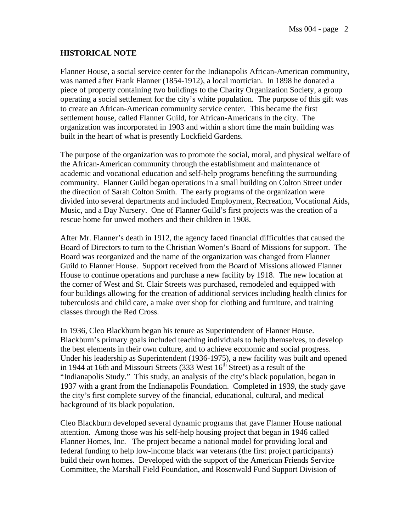#### **HISTORICAL NOTE**

Flanner House, a social service center for the Indianapolis African-American community, was named after Frank Flanner (1854-1912), a local mortician. In 1898 he donated a piece of property containing two buildings to the Charity Organization Society, a group operating a social settlement for the city's white population. The purpose of this gift was to create an African-American community service center. This became the first settlement house, called Flanner Guild, for African-Americans in the city. The organization was incorporated in 1903 and within a short time the main building was built in the heart of what is presently Lockfield Gardens.

The purpose of the organization was to promote the social, moral, and physical welfare of the African-American community through the establishment and maintenance of academic and vocational education and self-help programs benefiting the surrounding community. Flanner Guild began operations in a small building on Colton Street under the direction of Sarah Colton Smith. The early programs of the organization were divided into several departments and included Employment, Recreation, Vocational Aids, Music, and a Day Nursery. One of Flanner Guild's first projects was the creation of a rescue home for unwed mothers and their children in 1908.

After Mr. Flanner's death in 1912, the agency faced financial difficulties that caused the Board of Directors to turn to the Christian Women's Board of Missions for support. The Board was reorganized and the name of the organization was changed from Flanner Guild to Flanner House. Support received from the Board of Missions allowed Flanner House to continue operations and purchase a new facility by 1918. The new location at the corner of West and St. Clair Streets was purchased, remodeled and equipped with four buildings allowing for the creation of additional services including health clinics for tuberculosis and child care, a make over shop for clothing and furniture, and training classes through the Red Cross.

In 1936, Cleo Blackburn began his tenure as Superintendent of Flanner House. Blackburn's primary goals included teaching individuals to help themselves, to develop the best elements in their own culture, and to achieve economic and social progress. Under his leadership as Superintendent (1936-1975), a new facility was built and opened in 1944 at 16th and Missouri Streets (333 West  $16<sup>th</sup>$  Street) as a result of the "Indianapolis Study." This study, an analysis of the city's black population, began in 1937 with a grant from the Indianapolis Foundation. Completed in 1939, the study gave the city's first complete survey of the financial, educational, cultural, and medical background of its black population.

Cleo Blackburn developed several dynamic programs that gave Flanner House national attention. Among those was his self-help housing project that began in 1946 called Flanner Homes, Inc. The project became a national model for providing local and federal funding to help low-income black war veterans (the first project participants) build their own homes. Developed with the support of the American Friends Service Committee, the Marshall Field Foundation, and Rosenwald Fund Support Division of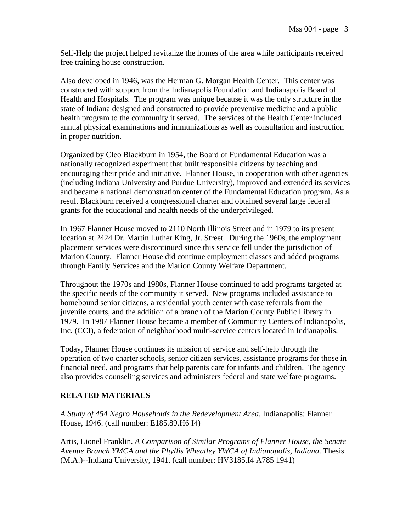Self-Help the project helped revitalize the homes of the area while participants received free training house construction.

Also developed in 1946, was the Herman G. Morgan Health Center. This center was constructed with support from the Indianapolis Foundation and Indianapolis Board of Health and Hospitals. The program was unique because it was the only structure in the state of Indiana designed and constructed to provide preventive medicine and a public health program to the community it served. The services of the Health Center included annual physical examinations and immunizations as well as consultation and instruction in proper nutrition.

Organized by Cleo Blackburn in 1954, the Board of Fundamental Education was a nationally recognized experiment that built responsible citizens by teaching and encouraging their pride and initiative. Flanner House, in cooperation with other agencies (including Indiana University and Purdue University), improved and extended its services and became a national demonstration center of the Fundamental Education program. As a result Blackburn received a congressional charter and obtained several large federal grants for the educational and health needs of the underprivileged.

In 1967 Flanner House moved to 2110 North Illinois Street and in 1979 to its present location at 2424 Dr. Martin Luther King, Jr. Street. During the 1960s, the employment placement services were discontinued since this service fell under the jurisdiction of Marion County. Flanner House did continue employment classes and added programs through Family Services and the Marion County Welfare Department.

Throughout the 1970s and 1980s, Flanner House continued to add programs targeted at the specific needs of the community it served. New programs included assistance to homebound senior citizens, a residential youth center with case referrals from the juvenile courts, and the addition of a branch of the Marion County Public Library in 1979. In 1987 Flanner House became a member of Community Centers of Indianapolis, Inc. (CCI), a federation of neighborhood multi-service centers located in Indianapolis.

Today, Flanner House continues its mission of service and self-help through the operation of two charter schools, senior citizen services, assistance programs for those in financial need, and programs that help parents care for infants and children. The agency also provides counseling services and administers federal and state welfare programs.

#### **RELATED MATERIALS**

*A Study of 454 Negro Households in the Redevelopment Area*, Indianapolis: Flanner House, 1946. (call number: E185.89.H6 I4)

Artis, Lionel Franklin. *A Comparison of Similar Programs of Flanner House, the Senate Avenue Branch YMCA and the Phyllis Wheatley YWCA of Indianapolis, Indiana*. Thesis (M.A.)--Indiana University, 1941. (call number: HV3185.I4 A785 1941)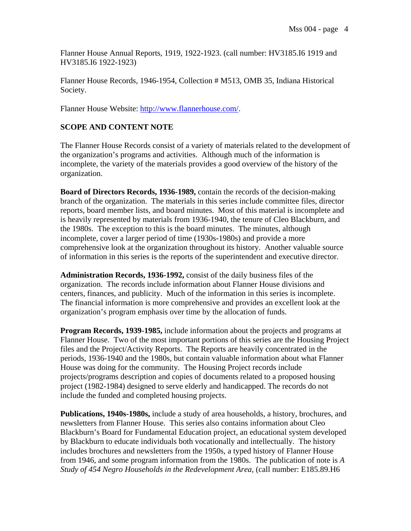Flanner House Annual Reports, 1919, 1922-1923. (call number: HV3185.I6 1919 and HV3185.I6 1922-1923)

Flanner House Records, 1946-1954, Collection # M513, OMB 35, Indiana Historical Society.

Flanner House Website: http://www.flannerhouse.com/.

#### **SCOPE AND CONTENT NOTE**

The Flanner House Records consist of a variety of materials related to the development of the organization's programs and activities. Although much of the information is incomplete, the variety of the materials provides a good overview of the history of the organization.

**Board of Directors Records, 1936-1989,** contain the records of the decision-making branch of the organization. The materials in this series include committee files, director reports, board member lists, and board minutes. Most of this material is incomplete and is heavily represented by materials from 1936-1940, the tenure of Cleo Blackburn, and the 1980s. The exception to this is the board minutes. The minutes, although incomplete, cover a larger period of time (1930s-1980s) and provide a more comprehensive look at the organization throughout its history. Another valuable source of information in this series is the reports of the superintendent and executive director.

**Administration Records, 1936-1992,** consist of the daily business files of the organization. The records include information about Flanner House divisions and centers, finances, and publicity. Much of the information in this series is incomplete. The financial information is more comprehensive and provides an excellent look at the organization's program emphasis over time by the allocation of funds.

**Program Records, 1939-1985,** include information about the projects and programs at Flanner House. Two of the most important portions of this series are the Housing Project files and the Project/Activity Reports. The Reports are heavily concentrated in the periods, 1936-1940 and the 1980s, but contain valuable information about what Flanner House was doing for the community. The Housing Project records include projects/programs description and copies of documents related to a proposed housing project (1982-1984) designed to serve elderly and handicapped. The records do not include the funded and completed housing projects.

**Publications, 1940s-1980s,** include a study of area households, a history, brochures, and newsletters from Flanner House. This series also contains information about Cleo Blackburn's Board for Fundamental Education project, an educational system developed by Blackburn to educate individuals both vocationally and intellectually. The history includes brochures and newsletters from the 1950s, a typed history of Flanner House from 1946, and some program information from the 1980s. The publication of note is *A Study of 454 Negro Households in the Redevelopment Area,* (call number: E185.89.H6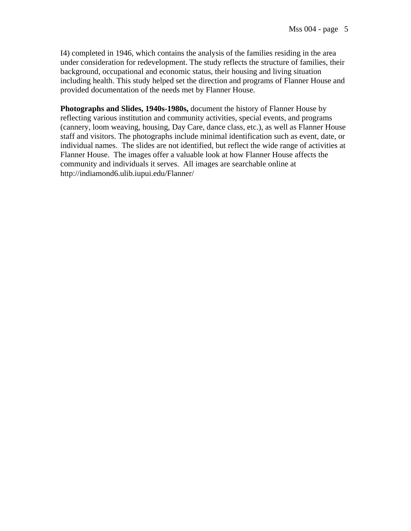I4) completed in 1946, which contains the analysis of the families residing in the area under consideration for redevelopment. The study reflects the structure of families, their background, occupational and economic status, their housing and living situation including health. This study helped set the direction and programs of Flanner House and provided documentation of the needs met by Flanner House.

**Photographs and Slides, 1940s-1980s,** document the history of Flanner House by reflecting various institution and community activities, special events, and programs (cannery, loom weaving, housing, Day Care, dance class, etc.), as well as Flanner House staff and visitors. The photographs include minimal identification such as event, date, or individual names. The slides are not identified, but reflect the wide range of activities at Flanner House. The images offer a valuable look at how Flanner House affects the community and individuals it serves. All images are searchable online at http://indiamond6.ulib.iupui.edu/Flanner/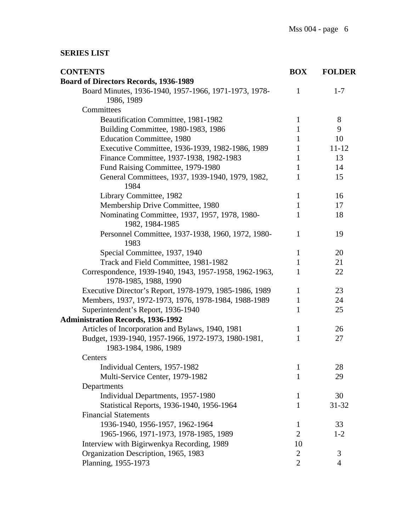#### **SERIES LIST**

| <b>CONTENTS</b>                                                                 | <b>BOX</b>     | <b>FOLDER</b>  |
|---------------------------------------------------------------------------------|----------------|----------------|
| <b>Board of Directors Records, 1936-1989</b>                                    |                |                |
| Board Minutes, 1936-1940, 1957-1966, 1971-1973, 1978-<br>1986, 1989             | $\mathbf{1}$   | $1 - 7$        |
| Committees                                                                      |                |                |
| Beautification Committee, 1981-1982                                             | $\mathbf{1}$   | 8              |
| Building Committee, 1980-1983, 1986                                             | $\mathbf{1}$   | 9              |
| <b>Education Committee, 1980</b>                                                | $\mathbf{1}$   | 10             |
| Executive Committee, 1936-1939, 1982-1986, 1989                                 | 1              | 11-12          |
| Finance Committee, 1937-1938, 1982-1983                                         | $\mathbf{1}$   | 13             |
| Fund Raising Committee, 1979-1980                                               | $\mathbf{1}$   | 14             |
| General Committees, 1937, 1939-1940, 1979, 1982,<br>1984                        | 1              | 15             |
| Library Committee, 1982                                                         | $\mathbf{1}$   | 16             |
| Membership Drive Committee, 1980                                                | $\mathbf{1}$   | 17             |
| Nominating Committee, 1937, 1957, 1978, 1980-<br>1982, 1984-1985                | 1              | 18             |
| Personnel Committee, 1937-1938, 1960, 1972, 1980-<br>1983                       | $\mathbf{1}$   | 19             |
| Special Committee, 1937, 1940                                                   | $\mathbf{1}$   | 20             |
| Track and Field Committee, 1981-1982                                            | $\mathbf{1}$   | 21             |
| Correspondence, 1939-1940, 1943, 1957-1958, 1962-1963,<br>1978-1985, 1988, 1990 | 1              | 22             |
| Executive Director's Report, 1978-1979, 1985-1986, 1989                         | $\mathbf{1}$   | 23             |
| Members, 1937, 1972-1973, 1976, 1978-1984, 1988-1989                            | $\mathbf{1}$   | 24             |
| Superintendent's Report, 1936-1940                                              | 1              | 25             |
| <b>Administration Records, 1936-1992</b>                                        |                |                |
| Articles of Incorporation and Bylaws, 1940, 1981                                | $\mathbf{1}$   | 26             |
| Budget, 1939-1940, 1957-1966, 1972-1973, 1980-1981,<br>1983-1984, 1986, 1989    | $\mathbf{1}$   | 27             |
| Centers                                                                         |                |                |
| Individual Centers, 1957-1982                                                   | $\mathbf{1}$   | 28             |
| Multi-Service Center, 1979-1982                                                 | 1              | 29             |
| Departments                                                                     |                |                |
| Individual Departments, 1957-1980                                               | 1              | 30             |
| Statistical Reports, 1936-1940, 1956-1964                                       | $\mathbf{1}$   | 31-32          |
| <b>Financial Statements</b>                                                     |                |                |
| 1936-1940, 1956-1957, 1962-1964                                                 | 1              | 33             |
| 1965-1966, 1971-1973, 1978-1985, 1989                                           | $\overline{2}$ | $1 - 2$        |
| Interview with Bigirwenkya Recording, 1989                                      | 10             |                |
| Organization Description, 1965, 1983                                            | $\overline{2}$ | 3              |
| Planning, 1955-1973                                                             | $\overline{2}$ | $\overline{4}$ |